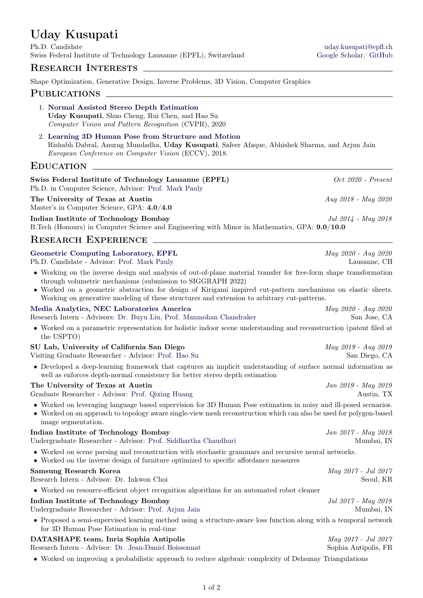# Uday Kusupati

Ph.D. Candidate [uday.kusupati@epfl.ch](mailto:uday.kusupati@epfl.ch) Swiss Federal Institute of Technology Lausanne (EPFL), Switzerland [Google Scholar/](https://scholar.google.co.in/citations?hl=en&user=LX2goiYAAAAJ/&user=LX2goiYAAAAJ) [GitHub](https://github.com/udaykusupati)

# RESEARCH INTERESTS  $\_\_$

Shape Optimization, Generative Design, Inverse Problems, 3D Vision, Computer Graphics

## PUBLICATIONS

- 1. [Normal Assisted Stereo Depth Estimation](https://arxiv.org/pdf/1911.10444.pdf) Uday Kusupati, Shuo Cheng, Rui Chen, and Hao Su Computer Vision and Pattern Recognition (CVPR), 2020
- 2. [Learning 3D Human Pose from Structure and Motion](https://www.cse.iitb.ac.in/~rdabral/3DPose/) Rishabh Dabral, Anurag Mundadha, Uday Kusupati, Safeer Afaque, Abhishek Sharma, and Arjun Jain European Conference on Computer Vision (ECCV), 2018.

## EDUCATION \_

| Swiss Federal Institute of Technology Lausanne (EPFL)                                                                                                                                                                                                                                                                                                                                            | $Oct 2020 - Present$                        |
|--------------------------------------------------------------------------------------------------------------------------------------------------------------------------------------------------------------------------------------------------------------------------------------------------------------------------------------------------------------------------------------------------|---------------------------------------------|
| Ph.D. in Computer Science, Advisor: Prof. Mark Pauly                                                                                                                                                                                                                                                                                                                                             |                                             |
| The University of Texas at Austin<br>Master's in Computer Science, GPA: 4.0/4.0                                                                                                                                                                                                                                                                                                                  | Aug 2018 - May 2020                         |
| Indian Institute of Technology Bombay<br>B. Tech (Honours) in Computer Science and Engineering with Minor in Mathematics, GPA: 9.0/10.0                                                                                                                                                                                                                                                          | Jul 2014 - May 2018                         |
| <b>RESEARCH EXPERIENCE</b>                                                                                                                                                                                                                                                                                                                                                                       |                                             |
| Geometric Computing Laboratory, EPFL<br>Ph.D. Candidate - Advisor: Prof. Mark Pauly                                                                                                                                                                                                                                                                                                              | May 2020 - Aug 2020<br>Lausanne, CH         |
| • Working on the inverse design and analysis of out-of-plane material transfer for free-form shape transformation<br>through volumetric mechanisms (submission to SIGGRAPH 2022)<br>• Worked on a geometric abstraction for design of Kirigami inspired cut-pattern mechanisms on elastic sheets.<br>Working on generative modeling of these structures and extension to arbitrary cut-patterns. |                                             |
| Media Analytics, NEC Laboratories America                                                                                                                                                                                                                                                                                                                                                        | May 2020 - Aug 2020                         |
| Research Intern - Advisors: Dr. Buyu Liu, Prof. Manmohan Chandraker                                                                                                                                                                                                                                                                                                                              | San Jose, CA                                |
| • Worked on a parametric representation for holistic indoor scene understanding and reconstruction (patent filed at<br>the USPTO)                                                                                                                                                                                                                                                                |                                             |
| SU Lab, University of California San Diego                                                                                                                                                                                                                                                                                                                                                       | May 2019 - Aug 2019                         |
| Visiting Graduate Researcher - Advisor: Prof. Hao Su                                                                                                                                                                                                                                                                                                                                             | San Diego, CA                               |
| • Developed a deep-learning framework that captures an implicit understanding of surface normal information as<br>well as enforces depth-normal consistency for better stereo depth estimation                                                                                                                                                                                                   |                                             |
| The University of Texas at Austin<br>Graduate Researcher - Advisor: Prof. Qixing Huang                                                                                                                                                                                                                                                                                                           | Jan 2019 - May 2019<br>Austin, TX           |
| • Worked on leveraging language based supervision for 3D Human Pose estimation in noisy and ill-posed scenarios.<br>• Worked on an approach to topology aware single-view mesh reconstruction which can also be used for polygon-based<br>image segmentation.                                                                                                                                    |                                             |
| Indian Institute of Technology Bombay<br>Undergraduate Researcher - Advisor: Prof. Siddhartha Chaudhuri                                                                                                                                                                                                                                                                                          | Jan 2017 - May 2018<br>Mumbai, IN           |
| • Worked on scene parsing and reconstruction with stochastic grammars and recursive neural networks.<br>• Worked on the inverse design of furniture optimized to specific affordance measures                                                                                                                                                                                                    |                                             |
| <b>Samsung Research Korea</b>                                                                                                                                                                                                                                                                                                                                                                    | May 2017 - Jul 2017                         |
| Research Intern - Advisor: Dr. Inkwon Choi                                                                                                                                                                                                                                                                                                                                                       | Seoul, KR                                   |
| • Worked on resource-efficient object recognition algorithms for an automated robot cleaner                                                                                                                                                                                                                                                                                                      |                                             |
| Indian Institute of Technology Bombay<br>Undergraduate Researcher - Advisor: Prof. Arjun Jain                                                                                                                                                                                                                                                                                                    | Jul 2017 - May 2018<br>Mumbai, IN           |
| • Proposed a semi-supervised learning method using a structure-aware loss function along with a temporal network<br>for 3D Human Pose Estimation in real-time                                                                                                                                                                                                                                    |                                             |
| DATASHAPE team, Inria Sophia Antipolis<br>Research Intern - Advisor: Dr. Jean-Daniel Boissonnat                                                                                                                                                                                                                                                                                                  | May 2017 - Jul 2017<br>Sophia Antipolis, FR |
| • Worked on improving a probabilistic approach to reduce algebraic complexity of Delaunay Triangulations                                                                                                                                                                                                                                                                                         |                                             |